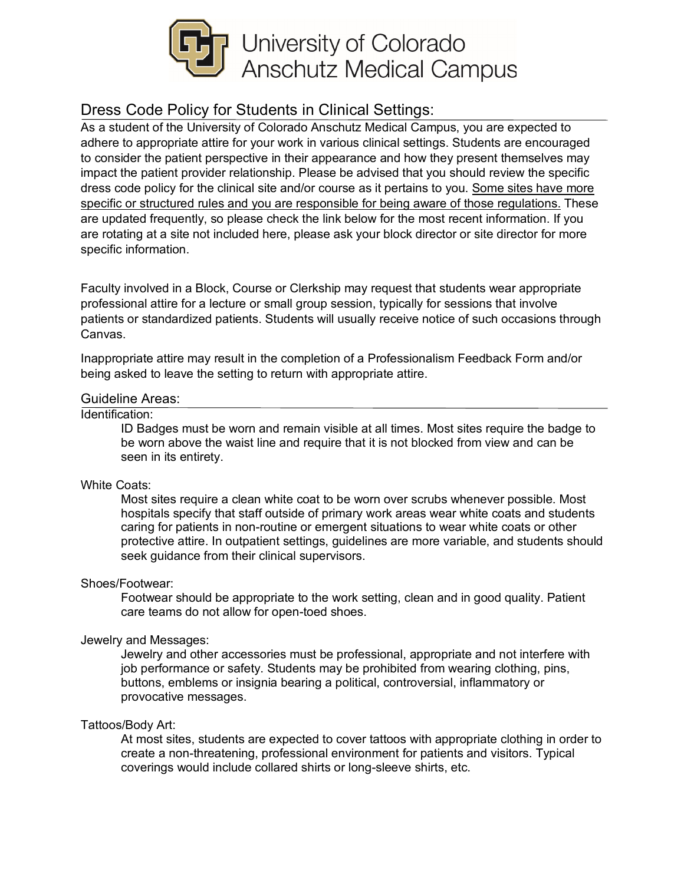

# Dress Code Policy for Students in Clinical Settings:

As a student of the University of Colorado Anschutz Medical Campus, you are expected to adhere to appropriate attire for your work in various clinical settings. Students are encouraged to consider the patient perspective in their appearance and how they present themselves may impact the patient provider relationship. Please be advised that you should review the specific dress code policy for the clinical site and/or course as it pertains to you. Some sites have more specific or structured rules and you are responsible for being aware of those regulations. These are updated frequently, so please check the link below for the most recent information. If you are rotating at a site not included here, please ask your block director or site director for more specific information.

Faculty involved in a Block, Course or Clerkship may request that students wear appropriate professional attire for a lecture or small group session, typically for sessions that involve patients or standardized patients. Students will usually receive notice of such occasions through Canvas.

Inappropriate attire may result in the completion of a Professionalism Feedback Form and/or being asked to leave the setting to return with appropriate attire.

# Guideline Areas:

Identification:

ID Badges must be worn and remain visible at all times. Most sites require the badge to be worn above the waist line and require that it is not blocked from view and can be seen in its entirety.

# White Coats:

Most sites require a clean white coat to be worn over scrubs whenever possible. Most hospitals specify that staff outside of primary work areas wear white coats and students caring for patients in non-routine or emergent situations to wear white coats or other protective attire. In outpatient settings, guidelines are more variable, and students should seek guidance from their clinical supervisors.

# Shoes/Footwear:

Footwear should be appropriate to the work setting, clean and in good quality. Patient care teams do not allow for open-toed shoes.

# Jewelry and Messages:

Jewelry and other accessories must be professional, appropriate and not interfere with job performance or safety. Students may be prohibited from wearing clothing, pins, buttons, emblems or insignia bearing a political, controversial, inflammatory or provocative messages.

# Tattoos/Body Art:

At most sites, students are expected to cover tattoos with appropriate clothing in order to create a non-threatening, professional environment for patients and visitors. Typical coverings would include collared shirts or long-sleeve shirts, etc.